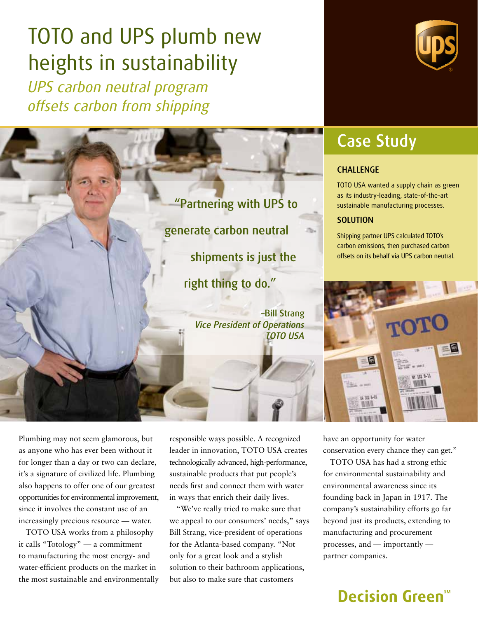# TOTO and UPS plumb new heights in sustainability

*UPS carbon neutral program offsets carbon from shipping*





## Case Study

#### **CHALLENGE**

TOTO USA wanted a supply chain as green as its industry-leading, state-of-the-art sustainable manufacturing processes.

#### **SOLUTION**

Shipping partner UPS calculated TOTO's carbon emissions, then purchased carbon offsets on its behalf via UPS carbon neutral.



Plumbing may not seem glamorous, but as anyone who has ever been without it for longer than a day or two can declare, it's a signature of civilized life. Plumbing also happens to offer one of our greatest opportunities for environmental improvement, since it involves the constant use of an increasingly precious resource — water.

TOTO USA works from a philosophy it calls "Totology" — a commitment to manufacturing the most energy- and water-efficient products on the market in the most sustainable and environmentally responsible ways possible. A recognized leader in innovation, TOTO USA creates technologically advanced, high-performance, sustainable products that put people's needs first and connect them with water in ways that enrich their daily lives.

"We've really tried to make sure that we appeal to our consumers' needs," says Bill Strang, vice-president of operations for the Atlanta-based company. "Not only for a great look and a stylish solution to their bathroom applications, but also to make sure that customers

have an opportunity for water conservation every chance they can get."

TOTO USA has had a strong ethic for environmental sustainability and environmental awareness since its founding back in Japan in 1917. The company's sustainability efforts go far beyond just its products, extending to manufacturing and procurement processes, and — importantly partner companies.

### Decision Green<sup>®</sup>